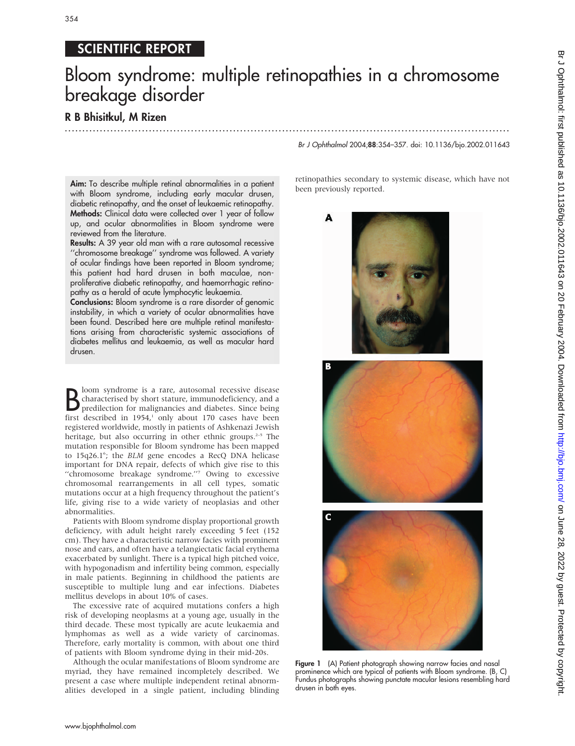## 354

## SCIENTIFIC REPORT

# Bloom syndrome: multiple retinopathies in a chromosome breakage disorder

.............................................................................................................................. .

### R B Bhisitkul, M Rizen

Aim: To describe multiple retinal abnormalities in a patient with Bloom syndrome, including early macular drusen, diabetic retinopathy, and the onset of leukaemic retinopathy. Methods: Clinical data were collected over 1 year of follow up, and ocular abnormalities in Bloom syndrome were reviewed from the literature.

Results: A 39 year old man with a rare autosomal recessive ''chromosome breakage'' syndrome was followed. A variety of ocular findings have been reported in Bloom syndrome; this patient had hard drusen in both maculae, nonproliferative diabetic retinopathy, and haemorrhagic retinopathy as a herald of acute lymphocytic leukaemia.

Conclusions: Bloom syndrome is a rare disorder of genomic instability, in which a variety of ocular abnormalities have been found. Described here are multiple retinal manifestations arising from characteristic systemic associations of diabetes mellitus and leukaemia, as well as macular hard drusen.

**B** loom syndrome is a rare, autosomal recessive disease<br>characterised by short stature, immunodeficiency, and a<br>predilection for malignancies and diabetes. Since being<br>first described in 1954,<sup>1</sup> only about 170 cases have loom syndrome is a rare, autosomal recessive disease characterised by short stature, immunodeficiency, and a predilection for malignancies and diabetes. Since being registered worldwide, mostly in patients of Ashkenazi Jewish heritage, but also occurring in other ethnic groups.<sup>2-5</sup> The mutation responsible for Bloom syndrome has been mapped to 15q26.1<sup>6</sup>; the BLM gene encodes a RecQ DNA helicase important for DNA repair, defects of which give rise to this "chromosome breakage syndrome."<sup>7</sup> Owing to excessive chromosomal rearrangements in all cell types, somatic mutations occur at a high frequency throughout the patient's life, giving rise to a wide variety of neoplasias and other abnormalities.

Patients with Bloom syndrome display proportional growth deficiency, with adult height rarely exceeding 5 feet (152 cm). They have a characteristic narrow facies with prominent nose and ears, and often have a telangiectatic facial erythema exacerbated by sunlight. There is a typical high pitched voice, with hypogonadism and infertility being common, especially in male patients. Beginning in childhood the patients are susceptible to multiple lung and ear infections. Diabetes mellitus develops in about 10% of cases.

The excessive rate of acquired mutations confers a high risk of developing neoplasms at a young age, usually in the third decade. These most typically are acute leukaemia and lymphomas as well as a wide variety of carcinomas. Therefore, early mortality is common, with about one third of patients with Bloom syndrome dying in their mid-20s.

Although the ocular manifestations of Bloom syndrome are myriad, they have remained incompletely described. We present a case where multiple independent retinal abnormalities developed in a single patient, including blinding

#### Br J Ophthalmol 2004;88:354–357. doi: 10.1136/bjo.2002.011643

retinopathies secondary to systemic disease, which have not been previously reported.







Figure 1 (A) Patient photograph showing narrow facies and nasal prominence which are typical of patients with Bloom syndrome. (B, C) Fundus photographs showing punctate macular lesions resembling hard drusen in both eyes.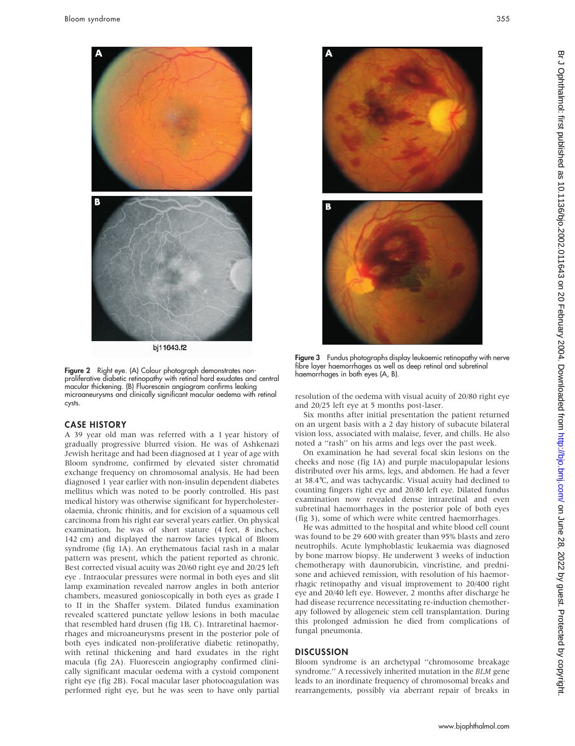

bj11643.f2

Figure 2 Right eye. (A) Colour photograph demonstrates nonproliferative diabetic retinopathy with retinal hard exudates and central macular thickening. (B) Fluorescein angiogram confirms leaking microaneurysms and clinically significant macular oedema with retinal cysts.

#### CASE HISTORY

A 39 year old man was referred with a 1 year history of gradually progressive blurred vision. He was of Ashkenazi Jewish heritage and had been diagnosed at 1 year of age with Bloom syndrome, confirmed by elevated sister chromatid exchange frequency on chromosomal analysis. He had been diagnosed 1 year earlier with non-insulin dependent diabetes mellitus which was noted to be poorly controlled. His past medical history was otherwise significant for hypercholesterolaemia, chronic rhinitis, and for excision of a squamous cell carcinoma from his right ear several years earlier. On physical examination, he was of short stature (4 feet, 8 inches, 142 cm) and displayed the narrow facies typical of Bloom syndrome (fig 1A). An erythematous facial rash in a malar pattern was present, which the patient reported as chronic. Best corrected visual acuity was 20/60 right eye and 20/25 left eye . Intraocular pressures were normal in both eyes and slit lamp examination revealed narrow angles in both anterior chambers, measured gonioscopically in both eyes as grade I to II in the Shaffer system. Dilated fundus examination revealed scattered punctate yellow lesions in both maculae that resembled hard drusen (fig 1B, C). Intraretinal haemorrhages and microaneurysms present in the posterior pole of both eyes indicated non-proliferative diabetic retinopathy, with retinal thickening and hard exudates in the right macula (fig 2A). Fluorescein angiography confirmed clinically significant macular oedema with a cystoid component right eye (fig 2B). Focal macular laser photocoagulation was performed right eye, but he was seen to have only partial





Figure 3 Fundus photographs display leukaemic retinopathy with nerve fibre layer haemorrhages as well as deep retinal and subretinal haemorrhages in both eyes (A, B).

resolution of the oedema with visual acuity of 20/80 right eye and 20/25 left eye at 5 months post-laser.

Six months after initial presentation the patient returned on an urgent basis with a 2 day history of subacute bilateral vision loss, associated with malaise, fever, and chills. He also noted a ''rash'' on his arms and legs over the past week.

On examination he had several focal skin lesions on the cheeks and nose (fig 1A) and purple maculopapular lesions distributed over his arms, legs, and abdomen. He had a fever at 38.4˚C, and was tachycardic. Visual acuity had declined to counting fingers right eye and 20/80 left eye. Dilated fundus examination now revealed dense intraretinal and even subretinal haemorrhages in the posterior pole of both eyes (fig 3), some of which were white centred haemorrhages.

He was admitted to the hospital and white blood cell count was found to be 29 600 with greater than 95% blasts and zero neutrophils. Acute lymphoblastic leukaemia was diagnosed by bone marrow biopsy. He underwent 3 weeks of induction chemotherapy with daunorubicin, vincristine, and prednisone and achieved remission, with resolution of his haemorrhagic retinopathy and visual improvement to 20/400 right eye and 20/40 left eye. However, 2 months after discharge he had disease recurrence necessitating re-induction chemotherapy followed by allogeneic stem cell transplantation. During this prolonged admission he died from complications of fungal pneumonia.

#### **DISCUSSION**

Bloom syndrome is an archetypal ''chromosome breakage syndrome.'' A recessively inherited mutation in the BLM gene leads to an inordinate frequency of chromosomal breaks and rearrangements, possibly via aberrant repair of breaks in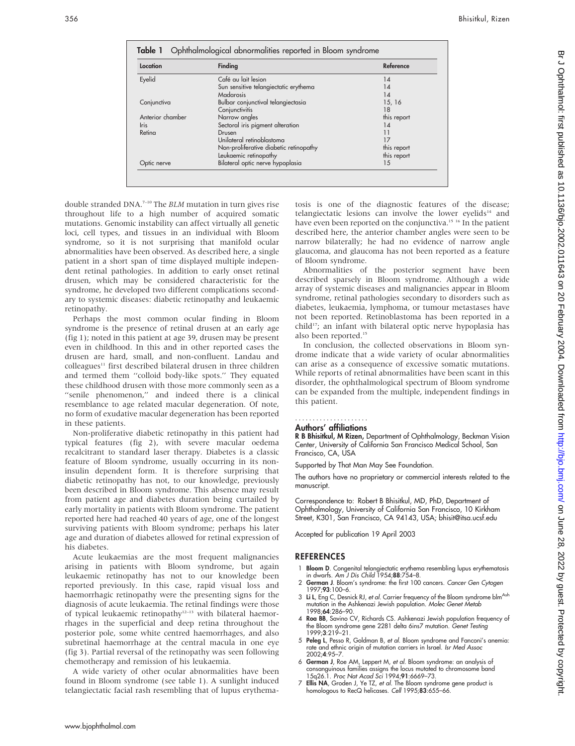| Location         | Finding                                | Reference   |
|------------------|----------------------------------------|-------------|
| Eyelid           | Café au lait lesion                    | 14          |
|                  | Sun sensitive telangiectatic erythema  | 14          |
|                  | Madarosis                              | 14          |
| Conjunctiva      | Bulbar conjunctival telangiectasia     | 15, 16      |
|                  | Conjunctivitis                         | 18          |
| Anterior chamber | Narrow angles                          | this report |
| <b>Iris</b>      | Sectoral iris pigment alteration       | 14          |
| Retina           | Drusen                                 | 11          |
|                  | Unilateral retinoblastoma              | 17          |
|                  | Non-proliferative diabetic retinopathy | this report |
|                  | Leukaemic retinopathy                  | this report |
| Optic nerve      | Bilateral optic nerve hypoplasia       | 15          |

double stranded DNA.7–10 The BLM mutation in turn gives rise throughout life to a high number of acquired somatic mutations. Genomic instability can affect virtually all genetic loci, cell types, and tissues in an individual with Bloom syndrome, so it is not surprising that manifold ocular abnormalities have been observed. As described here, a single patient in a short span of time displayed multiple independent retinal pathologies. In addition to early onset retinal drusen, which may be considered characteristic for the syndrome, he developed two different complications secondary to systemic diseases: diabetic retinopathy and leukaemic retinopathy.

Perhaps the most common ocular finding in Bloom syndrome is the presence of retinal drusen at an early age (fig 1); noted in this patient at age 39, drusen may be present even in childhood. In this and in other reported cases the drusen are hard, small, and non-confluent. Landau and colleagues<sup>11</sup> first described bilateral drusen in three children and termed them ''colloid body-like spots.'' They equated these childhood drusen with those more commonly seen as a "senile phenomenon," and indeed there is a clinical resemblance to age related macular degeneration. Of note, no form of exudative macular degeneration has been reported in these patients.

Non-proliferative diabetic retinopathy in this patient had typical features (fig 2), with severe macular oedema recalcitrant to standard laser therapy. Diabetes is a classic feature of Bloom syndrome, usually occurring in its noninsulin dependent form. It is therefore surprising that diabetic retinopathy has not, to our knowledge, previously been described in Bloom syndrome. This absence may result from patient age and diabetes duration being curtailed by early mortality in patients with Bloom syndrome. The patient reported here had reached 40 years of age, one of the longest surviving patients with Bloom syndrome; perhaps his later age and duration of diabetes allowed for retinal expression of his diabetes.

Acute leukaemias are the most frequent malignancies arising in patients with Bloom syndrome, but again leukaemic retinopathy has not to our knowledge been reported previously. In this case, rapid visual loss and haemorrhagic retinopathy were the presenting signs for the diagnosis of acute leukaemia. The retinal findings were those of typical leukaemic retinopathy<sup>12–13</sup> with bilateral haemorrhages in the superficial and deep retina throughout the posterior pole, some white centred haemorrhages, and also subretinal haemorrhage at the central macula in one eye (fig 3). Partial reversal of the retinopathy was seen following chemotherapy and remission of his leukaemia.

A wide variety of other ocular abnormalities have been found in Bloom syndrome (see table 1). A sunlight induced telangiectatic facial rash resembling that of lupus erythematosis is one of the diagnostic features of the disease; telangiectatic lesions can involve the lower eyelids $14$  and have even been reported on the conjunctiva.<sup>15 16</sup> In the patient described here, the anterior chamber angles were seen to be narrow bilaterally; he had no evidence of narrow angle glaucoma, and glaucoma has not been reported as a feature of Bloom syndrome.

Abnormalities of the posterior segment have been described sparsely in Bloom syndrome. Although a wide array of systemic diseases and malignancies appear in Bloom syndrome, retinal pathologies secondary to disorders such as diabetes, leukaemia, lymphoma, or tumour metastases have not been reported. Retinoblastoma has been reported in a child<sup>17</sup>; an infant with bilateral optic nerve hypoplasia has also been reported.15

In conclusion, the collected observations in Bloom syndrome indicate that a wide variety of ocular abnormalities can arise as a consequence of excessive somatic mutations. While reports of retinal abnormalities have been scant in this disorder, the ophthalmological spectrum of Bloom syndrome can be expanded from the multiple, independent findings in this patient.

#### Authors' affiliations .....................

R B Bhisitkul, M Rizen, Department of Ophthalmology, Beckman Vision Center, University of California San Francisco Medical School, San Francisco, CA, USA

Supported by That Man May See Foundation.

The authors have no proprietary or commercial interests related to the manuscript.

Correspondence to: Robert B Bhisitkul, MD, PhD, Department of Ophthalmology, University of California San Francisco, 10 Kirkham Street, K301, San Francisco, CA 94143, USA; bhisit@itsa.ucsf.edu

Accepted for publication 19 April 2003

#### **REFERENCES**

- 1 Bloom D. Congenital telangiectatic erythema resembling lupus erythematosis in dwarfs. Am J Dis Child 1954;88:754–8.
- 2 German J. Bloom's syndrome: the first 100 cancers. Cancer Gen Cytogen 1997;93:100–6.
- 3 Li L, Eng C, Desnick RJ, et al. Carrier frequency of the Bloom syndrome blm<sup>Ash</sup> mutation in the Ashkenazi Jewish population. Molec Genet Metab 1998;64:286–90.
- 4 Roa BB, Savino CV, Richards CS. Ashkenazi Jewish population frequency of the Bloom syndrome gene 2281 delta 6ins7 mutation. Genet Testing 1999;3:219–21.
- 5 Peleg L, Pesso R, Goldman B, et al. Bloom syndrome and Fanconi's anemia: rate and ethnic origin of mutation carriers in Israel. Isr Med Assoc 2002;4:95–7.
- 6 German J, Roe AM, Leppert M, et al. Bloom syndrome: an analysis of consanguinous families assigns the locus mutated to chromosome band 15q26.1. Proc Nat Acad Sci 1994;91:6669–73.
- 7 Ellis NA, Groden J, Ye TZ, et al. The Bloom syndrome gene product is homologous to RecQ helicases. Cell 1995;83:655-66.